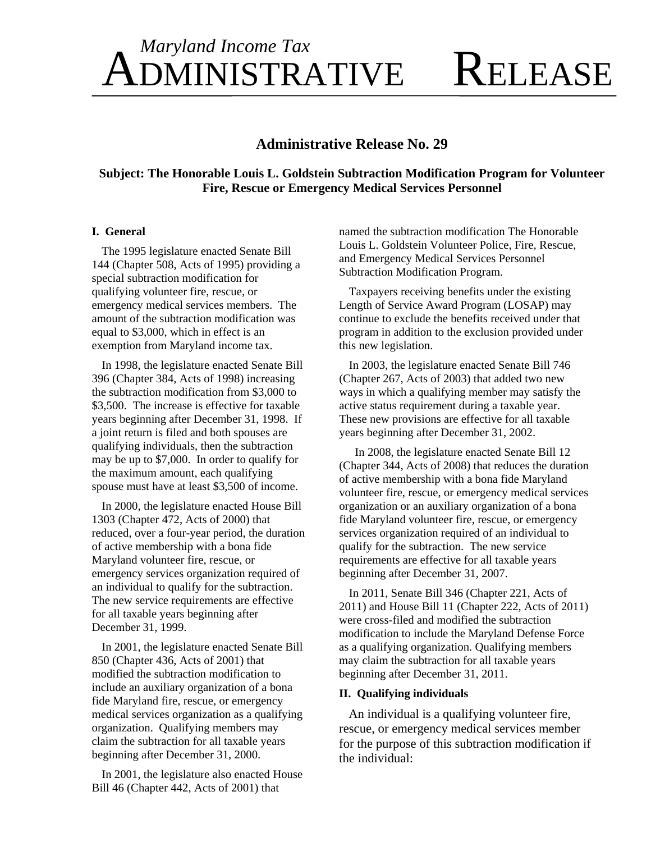## Maryland Income Tax **KELEASE DMINISTRATIVE**

## **Administrative Release No. 29**

Subject: The Honorable Louis L. Goldstein Subtraction Modification Program for Volunteer **Fire. Rescue or Emergency Medical Services Personnel** 

#### **I.** General

The 1995 legislature enacted Senate Bill 144 (Chapter 508, Acts of 1995) providing a special subtraction modification for qualifying volunteer fire, rescue, or emergency medical services members. The amount of the subtraction modification was equal to \$3,000, which in effect is an exemption from Maryland income tax.

In 1998, the legislature enacted Senate Bill 396 (Chapter 384, Acts of 1998) increasing the subtraction modification from \$3,000 to \$3,500. The increase is effective for taxable years beginning after December 31, 1998. If a joint return is filed and both spouses are qualifying individuals, then the subtraction may be up to \$7,000. In order to qualify for the maximum amount, each qualifying spouse must have at least \$3,500 of income.

In 2000, the legislature enacted House Bill 1303 (Chapter 472, Acts of 2000) that reduced, over a four-year period, the duration of active membership with a bona fide Maryland volunteer fire, rescue, or emergency services organization required of an individual to qualify for the subtraction. The new service requirements are effective for all taxable years beginning after December 31, 1999.

In 2001, the legislature enacted Senate Bill 850 (Chapter 436, Acts of 2001) that modified the subtraction modification to include an auxiliary organization of a bona fide Maryland fire, rescue, or emergency medical services organization as a qualifying organization. Qualifying members may claim the subtraction for all taxable years beginning after December 31, 2000.

In 2001, the legislature also enacted House Bill 46 (Chapter 442, Acts of 2001) that

named the subtraction modification The Honorable Louis L. Goldstein Volunteer Police, Fire, Rescue, and Emergency Medical Services Personnel Subtraction Modification Program.

Taxpayers receiving benefits under the existing Length of Service Award Program (LOSAP) may continue to exclude the benefits received under that program in addition to the exclusion provided under this new legislation.

In 2003, the legislature enacted Senate Bill 746 (Chapter 267, Acts of 2003) that added two new ways in which a qualifying member may satisfy the active status requirement during a taxable year. These new provisions are effective for all taxable years beginning after December 31, 2002.

In 2008, the legislature enacted Senate Bill 12 (Chapter 344, Acts of 2008) that reduces the duration of active membership with a bona fide Maryland volunteer fire, rescue, or emergency medical services organization or an auxiliary organization of a bona fide Maryland volunteer fire, rescue, or emergency services organization required of an individual to qualify for the subtraction. The new service requirements are effective for all taxable years beginning after December 31, 2007.

In 2011, Senate Bill 346 (Chapter 221, Acts of 2011) and House Bill 11 (Chapter 222, Acts of 2011) were cross-filed and modified the subtraction modification to include the Maryland Defense Force as a qualifying organization. Qualifying members may claim the subtraction for all taxable years beginning after December 31, 2011.

## **II.** Qualifying individuals

An individual is a qualifying volunteer fire, rescue, or emergency medical services member for the purpose of this subtraction modification if the individual: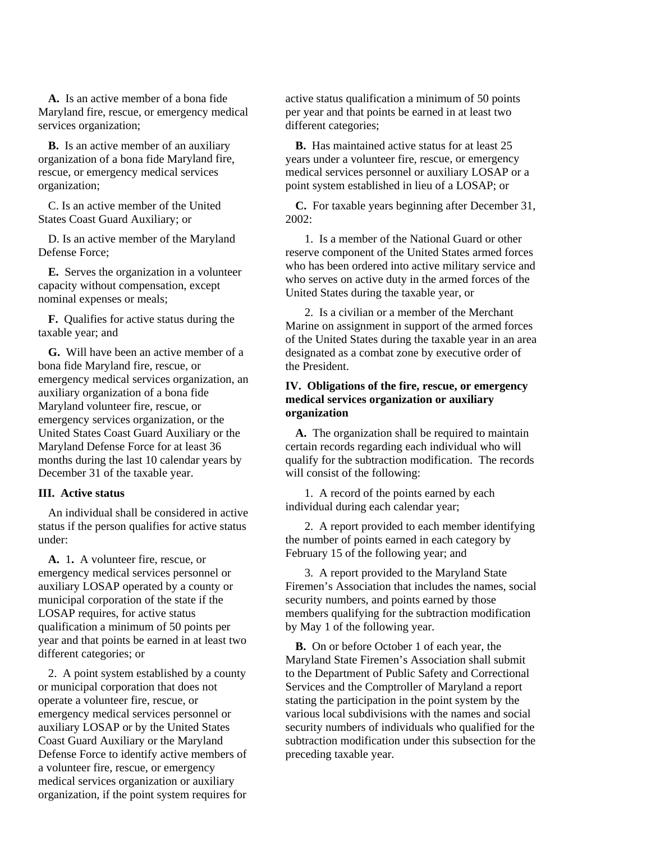**A.** Is an active member of a bona fide Maryland fire, rescue, or emergency medical services organization;

organization of a bona fide Maryland fire rescue, or emergency medical services **B.** Is an active member of an auxiliary organization;

C. Is an active member of the United States Coast Guard Auxiliary; or

D. Is an active member of the Maryland Defense Force;

**E.** Serves the organization in a volunteer **E.** Serves the organization in a volume of the serves on active duty in the capacity without compensation, except nominal expenses or meals;

**F.** Qualifies for active status during the taxable year; and

**G.** Will have been an active member of a bona fide Maryland fire, rescue, or emergency medical services organization, an auxiliary organization of a bona fide emergency services organization, or the United States Coast Guard Auxiliary or the months during the last 10 calendar years b . December 31 of the taxable year Maryland volunteer fire, rescue, or Maryland Defense Force for at least 36

#### **III. Active status**

An individual shall be considered in act status if the person qualifies for active status under:

A. 1. A volunteer fire, rescue, or emergency medical services personnel or auxiliary LOSAP operated by a county or municipal corporation of the state if the LOSAP requires, for active status qualification a minimum of 50 points per different categories; or year and that points be earned in at least two

2. A point system established by a county or municipal corporation that does not operate a volunteer fire, rescue, or emergency medical services personnel or auxiliary LOSAP or by the United States Coast Guard Auxiliary or the Maryland Defense Force to identify active members of a volunteer fire, rescue, or emergency medical services organization or auxiliary organization, if the point system requires for

active status qualification a minimum of 50 points per year and that points be earned in at least two different categories;

B. Has maintained active status for at least 25 , years under a volunteer fire, rescue, or emergency medical services personnel or auxiliary LOSAP or a point system established in lieu of a LOSAP; or

> **C.** For taxable years beginning after December 31, 2002:

> 1. Is a member of the National Guard or other reserve component of the United States armed forces who has been ordered into active military service and who serves on active duty in the armed forces of the United States during the taxable year, or

> 2. Is a civilian or a member of the Merchant Marine on assignment in support of the armed forces of the United States during the taxable year in an area designated as a combat zone by executive order of the President.

### IV. Obligations of the fire, rescue, or emergency medical services organization or auxiliary **organization**

A. The organization shall be required to maintain certain records regarding each individual who will qualify for the subtraction modification. The records will consist of the following:

1. A record of the points earned by each ive individual during each calendar year;

> 2. A report provided to each member identifying the number of points earned in each category by February 15 of the following year; and

3. A report provided to the Maryland State Firemen's Association that includes the names, social security numbers, and points earned by those members qualifying for the subtraction modification by May 1 of the following year.

**B.** On or before October 1 of each year, the Maryland State Firemen's Association shall submit to the Department of Public Safety and Correctional Services and the Comptroller of Maryland a report stating the participation in the point system by the various local subdivisions with the names and social security numbers of individuals who qualified for the subtraction modification under this subsection for the preceding taxable year.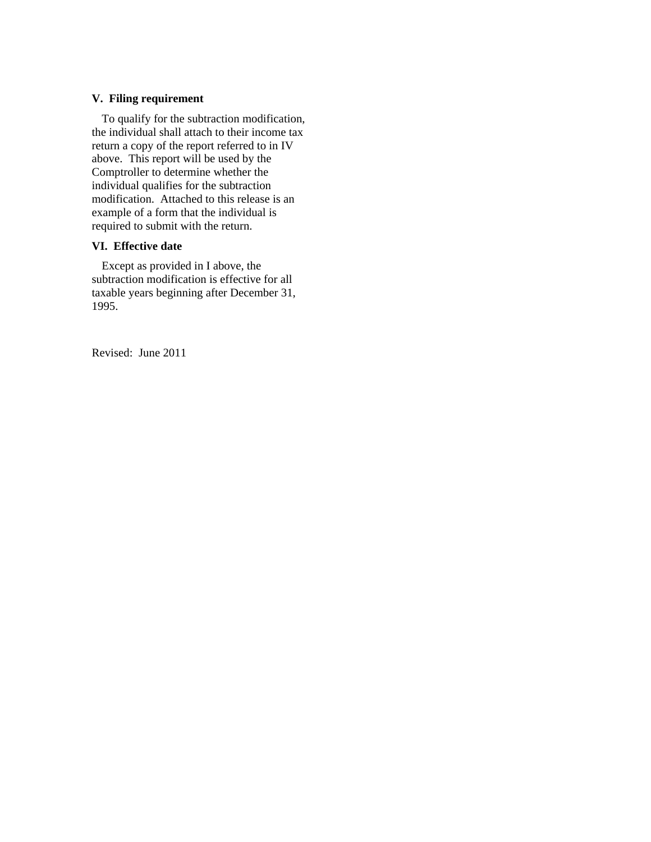#### **V. Filing requirement**

To qualify for the subtraction modification, the individual shall attach to their income tax return a copy of the report r eferred to in IV above. This report will be used by the Comptroller to determine wh ether the individual qualifies for th e subtraction modification. Attached to this release is an example of a form that the individual is required to submit with the return.

#### **. Effective date VI**

Except as provided in I above, the subtraction modification is effective for all taxable years beginning after December 31, 1995.

Revised: June 2011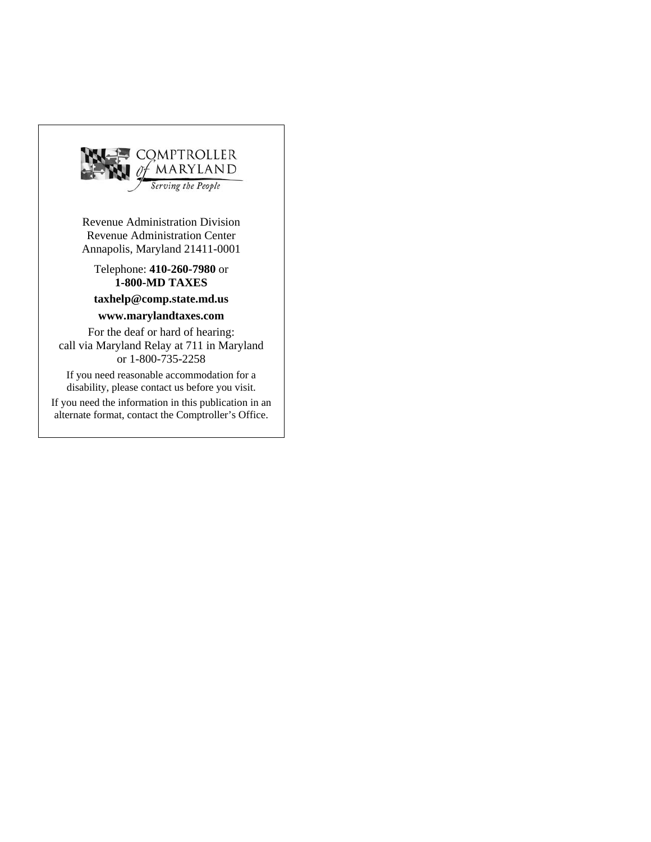

Revenue Administration Center Annapolis, Maryland 21411-0001

Telephone: 410-260-7980 or **1-800-MD TAXES**

## **taxhelp@comp.state.md.us**

### **www.marylandtaxes.com**

For the deaf or hard of hearing: call via Maryland Relay at 711 in Maryland or 1-800-735-2258

If you need reasonable accommodation for a disability, please contact us before you visit.

If you need the information in this publication in an alternate format, contact the Comptroller's Office.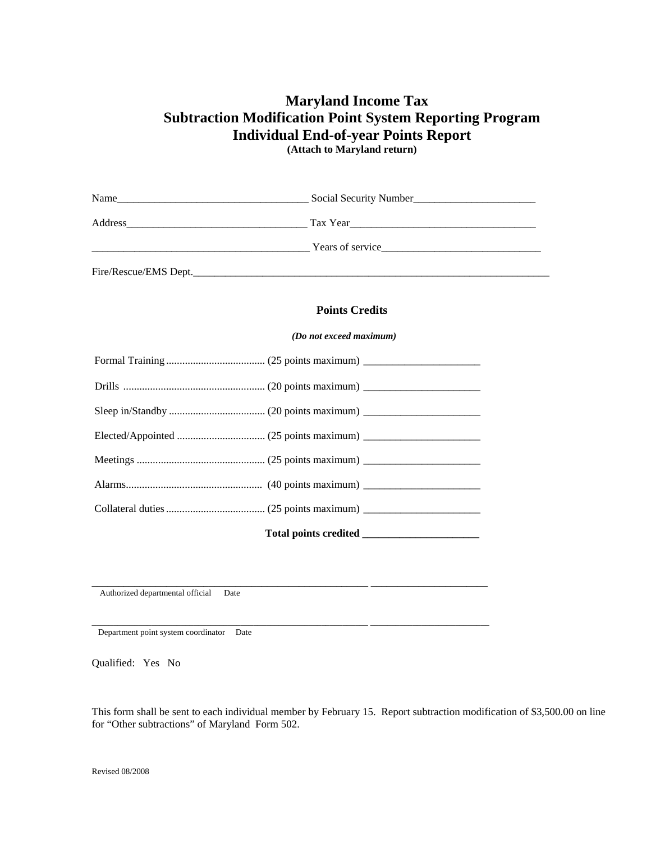# **Maryland Incom e Tax Subtraction Modification Point System Reporting Program Individual End-of-year Points Report**

**(Attach to Maryland return)** 

|  | $\frac{1}{2}$ Years of service expansion of the SNC Service expansion of service expansion of service expansion of $\frac{1}{2}$ Years of service expansion of $\frac{1}{2}$ Years of service expansion of $\frac{1}{2}$ Years of service exp |  |
|--|-----------------------------------------------------------------------------------------------------------------------------------------------------------------------------------------------------------------------------------------------|--|
|  | Fire/Rescue/EMS Dept.                                                                                                                                                                                                                         |  |
|  | <b>Points Credits</b>                                                                                                                                                                                                                         |  |
|  | (Do not exceed maximum)                                                                                                                                                                                                                       |  |
|  |                                                                                                                                                                                                                                               |  |
|  |                                                                                                                                                                                                                                               |  |
|  |                                                                                                                                                                                                                                               |  |
|  |                                                                                                                                                                                                                                               |  |
|  |                                                                                                                                                                                                                                               |  |
|  |                                                                                                                                                                                                                                               |  |
|  |                                                                                                                                                                                                                                               |  |
|  |                                                                                                                                                                                                                                               |  |

\_\_\_\_\_\_\_\_\_\_\_\_\_\_\_\_\_\_\_\_\_\_\_\_\_\_\_\_\_\_\_\_\_\_\_\_\_\_\_\_\_\_\_\_\_\_\_\_\_\_\_\_\_\_\_\_\_\_\_\_\_\_\_\_\_ \_\_\_\_\_\_\_\_\_\_\_\_\_\_\_\_\_\_\_\_\_\_\_\_\_\_\_\_

Authorized departmental official Date **\_\_\_\_\_\_\_\_\_\_\_\_\_\_\_\_\_\_\_\_\_\_\_\_\_\_\_\_\_**

Department point system coordinator Date

Qualified: Yes No

This form shall be sent to each individual member by February 15. Report subtraction modification of \$3,500.00 on line for "Other subtractions" of Maryland Form 502.

**\_\_\_\_\_\_\_\_\_\_\_\_\_\_\_\_\_\_\_\_\_\_\_ \_\_\_\_\_\_\_\_\_\_\_\_\_\_\_\_\_\_\_\_\_\_**